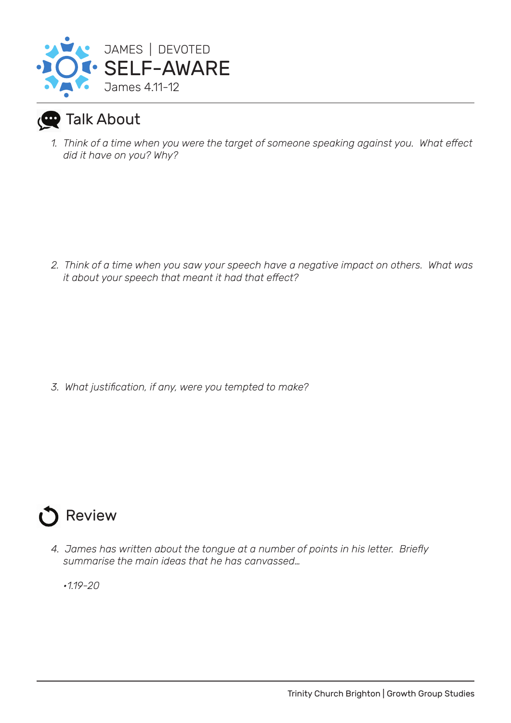

## Talk About

*1. Think of a time when you were the target of someone speaking against you. What effect did it have on you? Why?*

*2. Think of a time when you saw your speech have a negative impact on others. What was it about your speech that meant it had that effect?*

*3. What justification, if any, were you tempted to make?*



*4. James has written about the tongue at a number of points in his letter. Briefly summarise the main ideas that he has canvassed…*

*•1.19-20*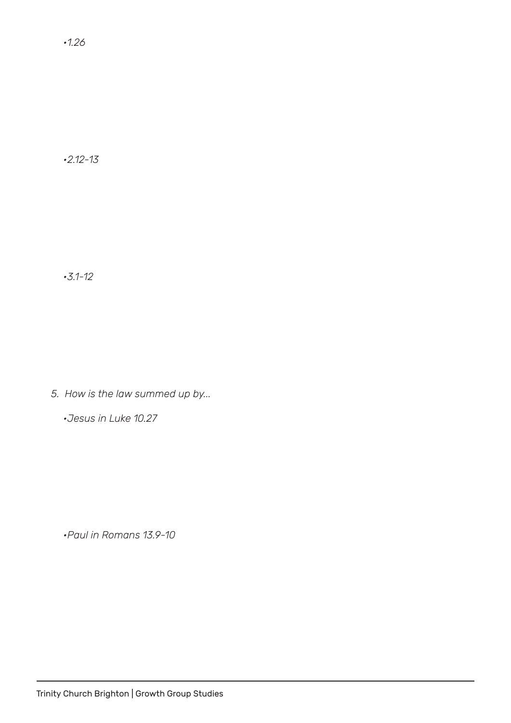*•2.12-13*

*•3.1-12* 

*5. How is the law summed up by...*

*•Jesus in Luke 10.27* 

*•Paul in Romans 13.9-10*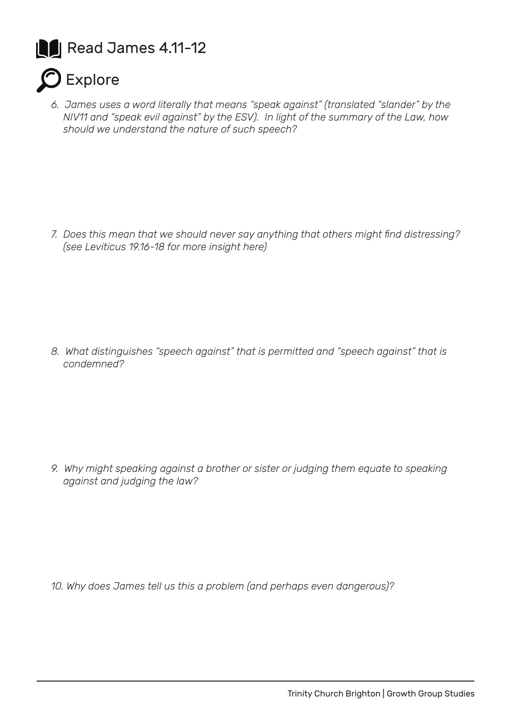



*6. James uses a word literally that means "speak against" (translated "slander" by the NIV11 and "speak evil against" by the ESV). In light of the summary of the Law, how should we understand the nature of such speech?*

*7. Does this mean that we should never say anything that others might find distressing? (see Leviticus 19.16-18 for more insight here)*

*8. What distinguishes "speech against" that is permitted and "speech against" that is condemned?*

*9. Why might speaking against a brother or sister or judging them equate to speaking against and judging the law?*

*10. Why does James tell us this a problem (and perhaps even dangerous)?*